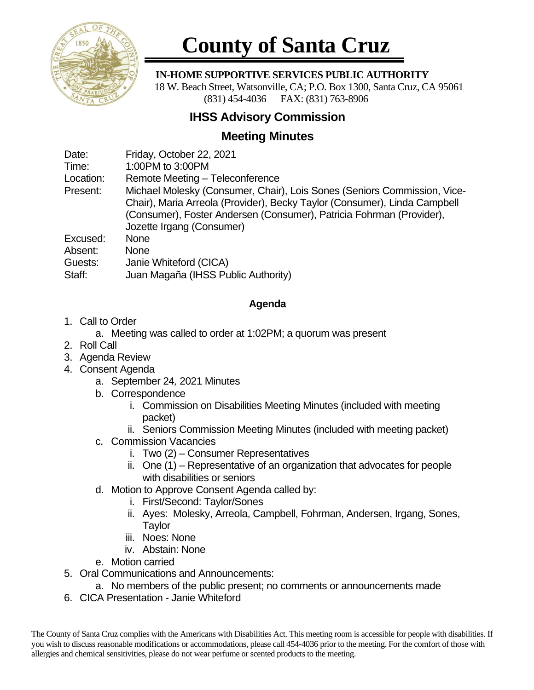

# **County of Santa Cruz**

#### **IN-HOME SUPPORTIVE SERVICES PUBLIC AUTHORITY**

 18 W. Beach Street, Watsonville, CA; P.O. Box 1300, Santa Cruz, CA 95061 (831) 454-4036 FAX: (831) 763-8906

## **IHSS Advisory Commission**

## **Meeting Minutes**

Date: Friday, October 22, 2021

Time: 1:00PM to 3:00PM

Location: Remote Meeting – Teleconference

Present: Michael Molesky (Consumer, Chair), Lois Sones (Seniors Commission, Vice-Chair), Maria Arreola (Provider), Becky Taylor (Consumer), Linda Campbell (Consumer), Foster Andersen (Consumer), Patricia Fohrman (Provider), Jozette Irgang (Consumer)

Excused: None

Absent: None

Guests: Janie Whiteford (CICA)

Staff: Juan Magaña (IHSS Public Authority)

#### **Agenda**

1. Call to Order

a. Meeting was called to order at 1:02PM; a quorum was present

- 2. Roll Call
- 3. Agenda Review
- 4. Consent Agenda
	- a. September 24*,* 2021 Minutes
	- b. Correspondence
		- i. Commission on Disabilities Meeting Minutes (included with meeting packet)
		- ii. Seniors Commission Meeting Minutes (included with meeting packet)
	- c. Commission Vacancies
		- i. Two (2) Consumer Representatives
		- ii. One (1) Representative of an organization that advocates for people with disabilities or seniors
	- d. Motion to Approve Consent Agenda called by:
		- i. First/Second: Taylor/Sones
		- ii. Ayes: Molesky, Arreola, Campbell, Fohrman, Andersen, Irgang, Sones, **Taylor**
		- iii. Noes: None
		- iv. Abstain: None
	- e. Motion carried
- 5. Oral Communications and Announcements:
	- a. No members of the public present; no comments or announcements made
- 6. CICA Presentation Janie Whiteford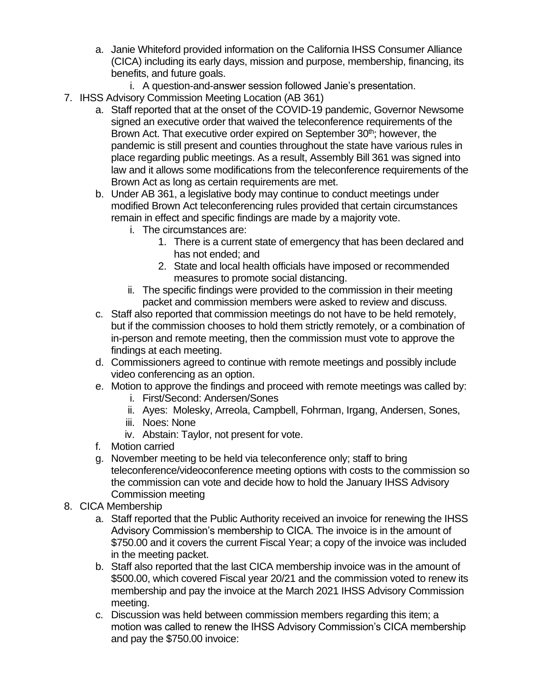- a. Janie Whiteford provided information on the California IHSS Consumer Alliance (CICA) including its early days, mission and purpose, membership, financing, its benefits, and future goals.
	- i. A question-and-answer session followed Janie's presentation.
- 7. IHSS Advisory Commission Meeting Location (AB 361)
	- a. Staff reported that at the onset of the COVID-19 pandemic, Governor Newsome signed an executive order that waived the teleconference requirements of the Brown Act. That executive order expired on September 30<sup>th</sup>; however, the pandemic is still present and counties throughout the state have various rules in place regarding public meetings. As a result, Assembly Bill 361 was signed into law and it allows some modifications from the teleconference requirements of the Brown Act as long as certain requirements are met.
	- b. Under AB 361, a legislative body may continue to conduct meetings under modified Brown Act teleconferencing rules provided that certain circumstances remain in effect and specific findings are made by a majority vote.
		- i. The circumstances are:
			- 1. There is a current state of emergency that has been declared and has not ended; and
			- 2. State and local health officials have imposed or recommended measures to promote social distancing.
		- ii. The specific findings were provided to the commission in their meeting packet and commission members were asked to review and discuss.
	- c. Staff also reported that commission meetings do not have to be held remotely, but if the commission chooses to hold them strictly remotely, or a combination of in-person and remote meeting, then the commission must vote to approve the findings at each meeting.
	- d. Commissioners agreed to continue with remote meetings and possibly include video conferencing as an option.
	- e. Motion to approve the findings and proceed with remote meetings was called by:
		- i. First/Second: Andersen/Sones
		- ii. Ayes: Molesky, Arreola, Campbell, Fohrman, Irgang, Andersen, Sones,
		- iii. Noes: None
		- iv. Abstain: Taylor, not present for vote.
	- f. Motion carried
	- g. November meeting to be held via teleconference only; staff to bring teleconference/videoconference meeting options with costs to the commission so the commission can vote and decide how to hold the January IHSS Advisory Commission meeting
- 8. CICA Membership
	- a. Staff reported that the Public Authority received an invoice for renewing the IHSS Advisory Commission's membership to CICA. The invoice is in the amount of \$750.00 and it covers the current Fiscal Year; a copy of the invoice was included in the meeting packet.
	- b. Staff also reported that the last CICA membership invoice was in the amount of \$500.00, which covered Fiscal year 20/21 and the commission voted to renew its membership and pay the invoice at the March 2021 IHSS Advisory Commission meeting.
	- c. Discussion was held between commission members regarding this item; a motion was called to renew the IHSS Advisory Commission's CICA membership and pay the \$750.00 invoice: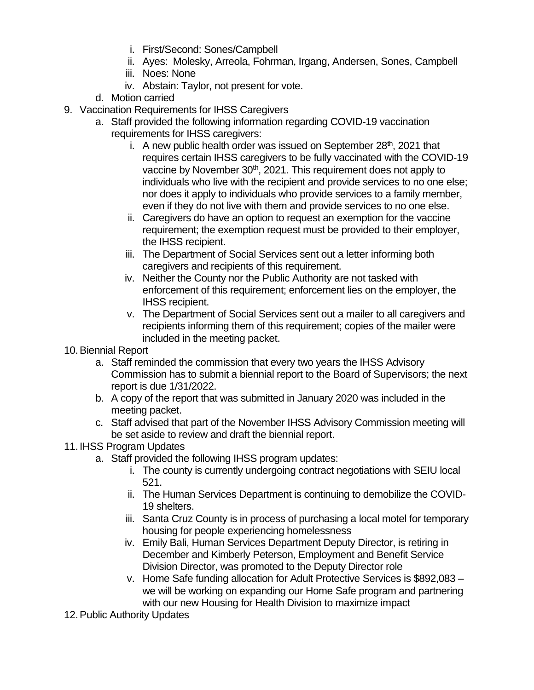- i. First/Second: Sones/Campbell
- ii. Ayes: Molesky, Arreola, Fohrman, Irgang, Andersen, Sones, Campbell
- iii. Noes: None
- iv. Abstain: Taylor, not present for vote.
- d. Motion carried
- 9. Vaccination Requirements for IHSS Caregivers
	- a. Staff provided the following information regarding COVID-19 vaccination requirements for IHSS caregivers:
		- i. A new public health order was issued on September  $28<sup>th</sup>$ , 2021 that requires certain IHSS caregivers to be fully vaccinated with the COVID-19 vaccine by November 30<sup>th</sup>, 2021. This requirement does not apply to individuals who live with the recipient and provide services to no one else; nor does it apply to individuals who provide services to a family member, even if they do not live with them and provide services to no one else.
		- ii. Caregivers do have an option to request an exemption for the vaccine requirement; the exemption request must be provided to their employer, the IHSS recipient.
		- iii. The Department of Social Services sent out a letter informing both caregivers and recipients of this requirement.
		- iv. Neither the County nor the Public Authority are not tasked with enforcement of this requirement; enforcement lies on the employer, the IHSS recipient.
		- v. The Department of Social Services sent out a mailer to all caregivers and recipients informing them of this requirement; copies of the mailer were included in the meeting packet.
- 10.Biennial Report
	- a. Staff reminded the commission that every two years the IHSS Advisory Commission has to submit a biennial report to the Board of Supervisors; the next report is due 1/31/2022.
	- b. A copy of the report that was submitted in January 2020 was included in the meeting packet.
	- c. Staff advised that part of the November IHSS Advisory Commission meeting will be set aside to review and draft the biennial report.

### 11. IHSS Program Updates

- a. Staff provided the following IHSS program updates:
	- i. The county is currently undergoing contract negotiations with SEIU local 521.
	- ii. The Human Services Department is continuing to demobilize the COVID-19 shelters.
	- iii. Santa Cruz County is in process of purchasing a local motel for temporary housing for people experiencing homelessness
	- iv. Emily Bali, Human Services Department Deputy Director, is retiring in December and Kimberly Peterson, Employment and Benefit Service Division Director, was promoted to the Deputy Director role
	- v. Home Safe funding allocation for Adult Protective Services is \$892,083 we will be working on expanding our Home Safe program and partnering with our new Housing for Health Division to maximize impact
- 12.Public Authority Updates